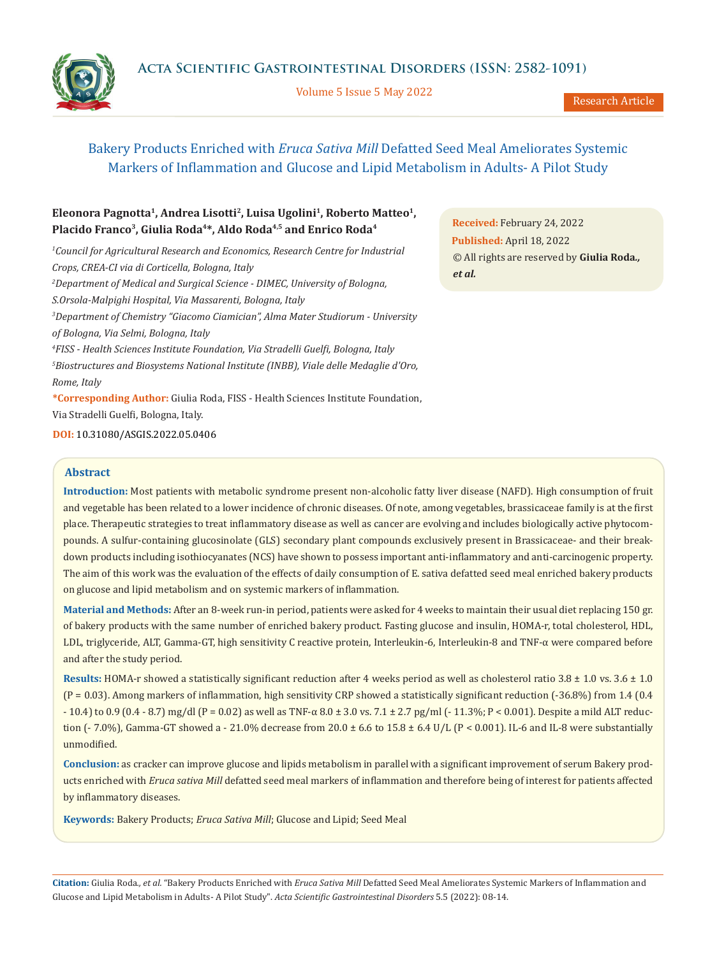Volume 5 Issue 5 May 2022



Research Article

# Bakery Products Enriched with *Eruca Sativa Mill* Defatted Seed Meal Ameliorates Systemic Markers of Inflammation and Glucose and Lipid Metabolism in Adults- A Pilot Study

## Eleonora Pagnotta<sup>1</sup>, Andrea Lisotti<sup>2</sup>, Luisa Ugolini<sup>1</sup>, Roberto Matteo<sup>1</sup>, Placido Franco<sup>3</sup>, Giulia Roda<sup>4\*</sup>, Aldo Roda<sup>4,5</sup> and Enrico Roda<sup>4</sup>

<sup>1</sup> Council for Agricultural Research and Economics, Research Centre for Industrial *Crops, CREA-CI via di Corticella, Bologna, Italy 2 Department of Medical and Surgical Science - DIMEC, University of Bologna, S.Orsola-Malpighi Hospital, Via Massarenti, Bologna, Italy 3 Department of Chemistry "Giacomo Ciamician", Alma Mater Studiorum - University of Bologna, Via Selmi, Bologna, Italy 4 FISS - Health Sciences Institute Foundation, Via Stradelli Guelfi, Bologna, Italy 5 Biostructures and Biosystems National Institute (INBB), Viale delle Medaglie d'Oro, Rome, Italy* **\*Corresponding Author:** Giulia Roda, FISS - Health Sciences Institute Foundation,

Via Stradelli Guelfi, Bologna, Italy.

**DOI:** [10.31080/ASGIS.2022.05.0406](https://actascientific.com/ASGIS/pdf/ASGIS-05-0406.pdf)

## **Abstract**

**Introduction:** Most patients with metabolic syndrome present non-alcoholic fatty liver disease (NAFD). High consumption of fruit and vegetable has been related to a lower incidence of chronic diseases. Of note, among vegetables, brassicaceae family is at the first place. Therapeutic strategies to treat inflammatory disease as well as cancer are evolving and includes biologically active phytocompounds. A sulfur-containing glucosinolate (GLS) secondary plant compounds exclusively present in Brassicaceae- and their breakdown products including isothiocyanates (NCS) have shown to possess important anti-inflammatory and anti-carcinogenic property. The aim of this work was the evaluation of the effects of daily consumption of E. sativa defatted seed meal enriched bakery products on glucose and lipid metabolism and on systemic markers of inflammation.

**Material and Methods:** After an 8-week run-in period, patients were asked for 4 weeks to maintain their usual diet replacing 150 gr. of bakery products with the same number of enriched bakery product. Fasting glucose and insulin, HOMA-r, total cholesterol, HDL, LDL, triglyceride, ALT, Gamma-GT, high sensitivity C reactive protein, Interleukin-6, Interleukin-8 and TNF-α were compared before and after the study period.

**Results:** HOMA-r showed a statistically significant reduction after 4 weeks period as well as cholesterol ratio 3.8 ± 1.0 vs. 3.6 ± 1.0 (P = 0.03). Among markers of inflammation, high sensitivity CRP showed a statistically significant reduction (-36.8%) from 1.4 (0.4 - 10.4) to 0.9 (0.4 - 8.7) mg/dl (P = 0.02) as well as TNF-α 8.0 ± 3.0 vs. 7.1 ± 2.7 pg/ml (- 11.3%; P < 0.001). Despite a mild ALT reduction (- 7.0%), Gamma-GT showed a - 21.0% decrease from 20.0  $\pm$  6.6 to 15.8  $\pm$  6.4 U/L (P < 0.001). IL-6 and IL-8 were substantially unmodified.

**Conclusion:** as cracker can improve glucose and lipids metabolism in parallel with a significant improvement of serum Bakery products enriched with *Eruca sativa Mill* defatted seed meal markers of inflammation and therefore being of interest for patients affected by inflammatory diseases.

**Keywords:** Bakery Products; *Eruca Sativa Mill*; Glucose and Lipid; Seed Meal

**Citation:** Giulia Roda*., et al.* "Bakery Products Enriched with *Eruca Sativa Mill* Defatted Seed Meal Ameliorates Systemic Markers of Inflammation and Glucose and Lipid Metabolism in Adults- A Pilot Study". *Acta Scientific Gastrointestinal Disorders* 5.5 (2022): 08-14.

**Received:** February 24, 2022 **Published:** April 18, 2022 © All rights are reserved by **Giulia Roda***., et al.*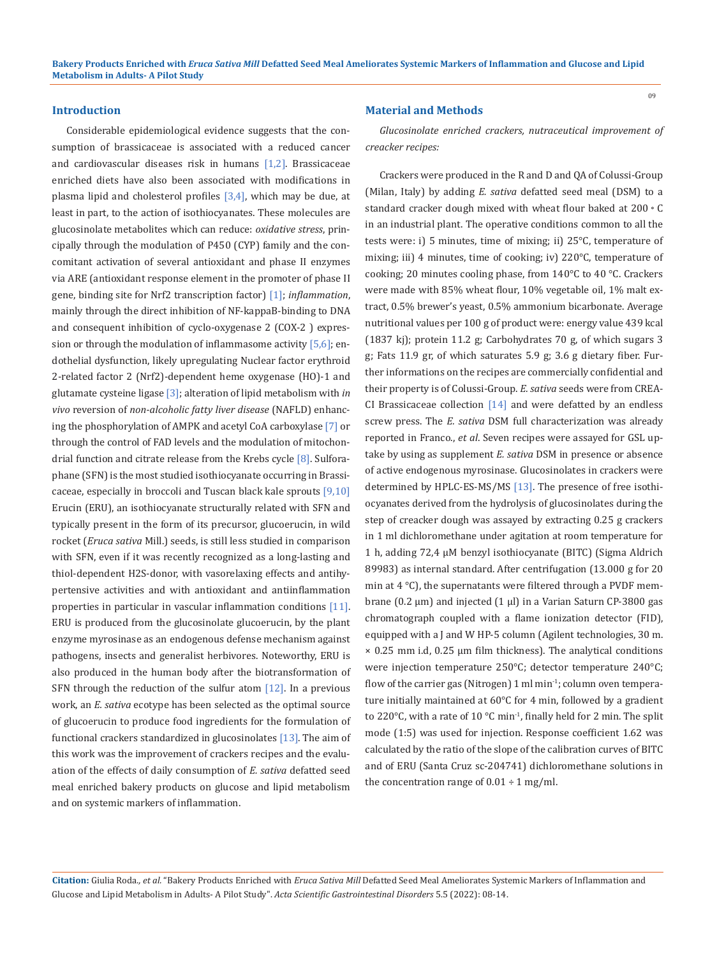#### **Introduction**

Considerable epidemiological evidence suggests that the consumption of brassicaceae is associated with a reduced cancer and cardiovascular diseases risk in humans [1,2]. Brassicaceae enriched diets have also been associated with modifications in plasma lipid and cholesterol profiles  $[3,4]$ , which may be due, at least in part, to the action of isothiocyanates. These molecules are glucosinolate metabolites which can reduce: *oxidative stress*, principally through the modulation of P450 (CYP) family and the concomitant activation of several antioxidant and phase II enzymes via ARE (antioxidant response element in the promoter of phase II gene, binding site for Nrf2 transcription factor) [1]; *inflammation*, mainly through the direct inhibition of NF-kappaB-binding to DNA and consequent inhibition of cyclo-oxygenase 2 (COX-2 ) expression or through the modulation of inflammasome activity  $[5,6]$ ; endothelial dysfunction, likely upregulating Nuclear factor erythroid 2-related factor 2 (Nrf2)-dependent heme oxygenase (HO)-1 and glutamate cysteine ligase [3]; alteration of lipid metabolism with *in vivo* reversion of *non-alcoholic fatty liver disease* (NAFLD) enhancing the phosphorylation of AMPK and acetyl CoA carboxylase [7] or through the control of FAD levels and the modulation of mitochondrial function and citrate release from the Krebs cycle [8]. Sulforaphane (SFN) is the most studied isothiocyanate occurring in Brassicaceae, especially in broccoli and Tuscan black kale sprouts [9,10] Erucin (ERU), an isothiocyanate structurally related with SFN and typically present in the form of its precursor, glucoerucin, in wild rocket (*Eruca sativa* Mill.) seeds, is still less studied in comparison with SFN, even if it was recently recognized as a long-lasting and thiol-dependent H2S-donor, with vasorelaxing effects and antihypertensive activities and with antioxidant and antiinflammation properties in particular in vascular inflammation conditions [11]. ERU is produced from the glucosinolate glucoerucin, by the plant enzyme myrosinase as an endogenous defense mechanism against pathogens, insects and generalist herbivores. Noteworthy, ERU is also produced in the human body after the biotransformation of SFN through the reduction of the sulfur atom  $[12]$ . In a previous work, an *E. sativa* ecotype has been selected as the optimal source of glucoerucin to produce food ingredients for the formulation of functional crackers standardized in glucosinolates  $[13]$ . The aim of this work was the improvement of crackers recipes and the evaluation of the effects of daily consumption of *E. sativa* defatted seed meal enriched bakery products on glucose and lipid metabolism and on systemic markers of inflammation.

#### **Material and Methods**

*Glucosinolate enriched crackers, nutraceutical improvement of creacker recipes:*

Crackers were produced in the R and D and QA of Colussi-Group (Milan, Italy) by adding *E. sativa* defatted seed meal (DSM) to a standard cracker dough mixed with wheat flour baked at 200◦C in an industrial plant. The operative conditions common to all the tests were: i) 5 minutes, time of mixing; ii) 25°C, temperature of mixing; iii) 4 minutes, time of cooking; iv) 220°C, temperature of cooking; 20 minutes cooling phase, from 140°C to 40 °C. Crackers were made with 85% wheat flour, 10% vegetable oil, 1% malt extract, 0.5% brewer's yeast, 0.5% ammonium bicarbonate. Average nutritional values per 100 g of product were: energy value 439 kcal (1837 kj); protein 11.2 g; Carbohydrates 70 g, of which sugars 3 g; Fats 11.9 gr, of which saturates 5.9 g; 3.6 g dietary fiber. Further informations on the recipes are commercially confidential and their property is of Colussi-Group. *E. sativa* seeds were from CREA-CI Brassicaceae collection  $[14]$  and were defatted by an endless screw press. The *E. sativa* DSM full characterization was already reported in Franco., *et al*. Seven recipes were assayed for GSL uptake by using as supplement *E. sativa* DSM in presence or absence of active endogenous myrosinase. Glucosinolates in crackers were determined by HPLC-ES-MS/MS [13]. The presence of free isothiocyanates derived from the hydrolysis of glucosinolates during the step of creacker dough was assayed by extracting 0.25 g crackers in 1 ml dichloromethane under agitation at room temperature for 1 h, adding 72,4 µM benzyl isothiocyanate (BITC) (Sigma Aldrich 89983) as internal standard. After centrifugation (13.000 g for 20 min at 4 °C), the supernatants were filtered through a PVDF membrane (0.2 μm) and injected (1 µl) in a Varian Saturn CP-3800 gas chromatograph coupled with a flame ionization detector (FID), equipped with a J and W HP-5 column (Agilent technologies, 30 m. × 0.25 mm i.d, 0.25 μm film thickness). The analytical conditions were injection temperature 250°C; detector temperature 240°C; flow of the carrier gas (Nitrogen) 1 ml min<sup>-1</sup>; column oven temperature initially maintained at 60°C for 4 min, followed by a gradient to 220 $\degree$ C, with a rate of 10  $\degree$ C min<sup>-1</sup>, finally held for 2 min. The split mode (1:5) was used for injection. Response coefficient 1.62 was calculated by the ratio of the slope of the calibration curves of BITC and of ERU (Santa Cruz sc-204741) dichloromethane solutions in the concentration range of  $0.01 \div 1$  mg/ml.

**Citation:** Giulia Roda*., et al.* "Bakery Products Enriched with *Eruca Sativa Mill* Defatted Seed Meal Ameliorates Systemic Markers of Inflammation and Glucose and Lipid Metabolism in Adults- A Pilot Study". *Acta Scientific Gastrointestinal Disorders* 5.5 (2022): 08-14.

09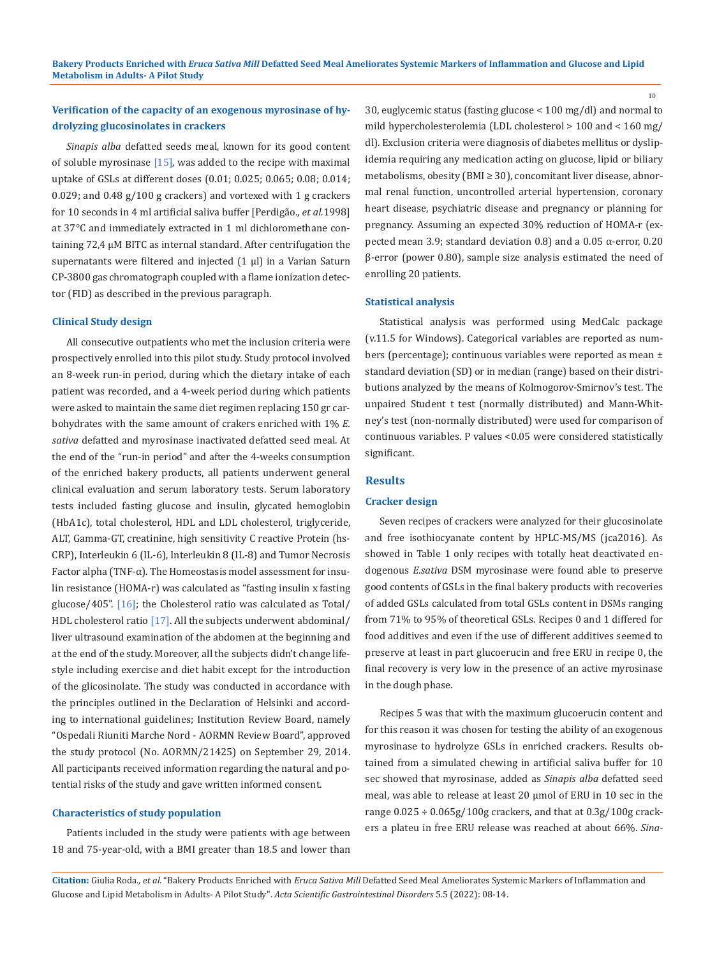## **Verification of the capacity of an exogenous myrosinase of hydrolyzing glucosinolates in crackers**

*Sinapis alba* defatted seeds meal, known for its good content of soluble myrosinase  $[15]$ , was added to the recipe with maximal uptake of GSLs at different doses (0.01; 0.025; 0.065; 0.08; 0.014; 0.029; and 0.48 g/100 g crackers) and vortexed with 1 g crackers for 10 seconds in 4 ml artificial saliva buffer [Perdigão., *et al.*1998] at 37°C and immediately extracted in 1 ml dichloromethane containing 72,4 µM BITC as internal standard. After centrifugation the supernatants were filtered and injected (1 µl) in a Varian Saturn CP-3800 gas chromatograph coupled with a flame ionization detector (FID) as described in the previous paragraph.

### **Clinical Study design**

All consecutive outpatients who met the inclusion criteria were prospectively enrolled into this pilot study. Study protocol involved an 8-week run-in period, during which the dietary intake of each patient was recorded, and a 4-week period during which patients were asked to maintain the same diet regimen replacing 150 gr carbohydrates with the same amount of crakers enriched with 1% *E. sativa* defatted and myrosinase inactivated defatted seed meal. At the end of the "run-in period" and after the 4-weeks consumption of the enriched bakery products, all patients underwent general clinical evaluation and serum laboratory tests. Serum laboratory tests included fasting glucose and insulin, glycated hemoglobin (HbA1c), total cholesterol, HDL and LDL cholesterol, triglyceride, ALT, Gamma-GT, creatinine, high sensitivity C reactive Protein (hs-CRP), Interleukin 6 (IL-6), Interleukin 8 (IL-8) and Tumor Necrosis Factor alpha (TNF-α). The Homeostasis model assessment for insulin resistance (HOMA-r) was calculated as "fasting insulin x fasting glucose/405". [16]; the Cholesterol ratio was calculated as Total/ HDL cholesterol ratio [17]. All the subjects underwent abdominal/ liver ultrasound examination of the abdomen at the beginning and at the end of the study. Moreover, all the subjects didn't change lifestyle including exercise and diet habit except for the introduction of the glicosinolate. The study was conducted in accordance with the principles outlined in the Declaration of Helsinki and according to international guidelines; Institution Review Board, namely "Ospedali Riuniti Marche Nord - AORMN Review Board", approved the study protocol (No. AORMN/21425) on September 29, 2014. All participants received information regarding the natural and potential risks of the study and gave written informed consent.

### **Characteristics of study population**

Patients included in the study were patients with age between 18 and 75-year-old, with a BMI greater than 18.5 and lower than 30, euglycemic status (fasting glucose < 100 mg/dl) and normal to mild hypercholesterolemia (LDL cholesterol > 100 and < 160 mg/ dl). Exclusion criteria were diagnosis of diabetes mellitus or dyslipidemia requiring any medication acting on glucose, lipid or biliary metabolisms, obesity (BMI ≥ 30), concomitant liver disease, abnormal renal function, uncontrolled arterial hypertension, coronary heart disease, psychiatric disease and pregnancy or planning for pregnancy. Assuming an expected 30% reduction of HOMA-r (expected mean 3.9; standard deviation 0.8) and a 0.05 α-error, 0.20 β-error (power 0.80), sample size analysis estimated the need of enrolling 20 patients.

#### **Statistical analysis**

Statistical analysis was performed using MedCalc package (v.11.5 for Windows). Categorical variables are reported as numbers (percentage); continuous variables were reported as mean ± standard deviation (SD) or in median (range) based on their distributions analyzed by the means of Kolmogorov-Smirnov's test. The unpaired Student t test (normally distributed) and Mann-Whitney's test (non-normally distributed) were used for comparison of continuous variables. P values <0.05 were considered statistically significant.

#### **Results**

#### **Cracker design**

Seven recipes of crackers were analyzed for their glucosinolate and free isothiocyanate content by HPLC-MS/MS (jca2016). As showed in Table 1 only recipes with totally heat deactivated endogenous *E.sativa* DSM myrosinase were found able to preserve good contents of GSLs in the final bakery products with recoveries of added GSLs calculated from total GSLs content in DSMs ranging from 71% to 95% of theoretical GSLs. Recipes 0 and 1 differed for food additives and even if the use of different additives seemed to preserve at least in part glucoerucin and free ERU in recipe 0, the final recovery is very low in the presence of an active myrosinase in the dough phase.

Recipes 5 was that with the maximum glucoerucin content and for this reason it was chosen for testing the ability of an exogenous myrosinase to hydrolyze GSLs in enriched crackers. Results obtained from a simulated chewing in artificial saliva buffer for 10 sec showed that myrosinase, added as *Sinapis alba* defatted seed meal, was able to release at least 20 µmol of ERU in 10 sec in the range  $0.025 \div 0.065g/100g$  crackers, and that at  $0.3g/100g$  crackers a plateu in free ERU release was reached at about 66%. *Sina-*

**Citation:** Giulia Roda*., et al.* "Bakery Products Enriched with *Eruca Sativa Mill* Defatted Seed Meal Ameliorates Systemic Markers of Inflammation and Glucose and Lipid Metabolism in Adults- A Pilot Study". *Acta Scientific Gastrointestinal Disorders* 5.5 (2022): 08-14.

10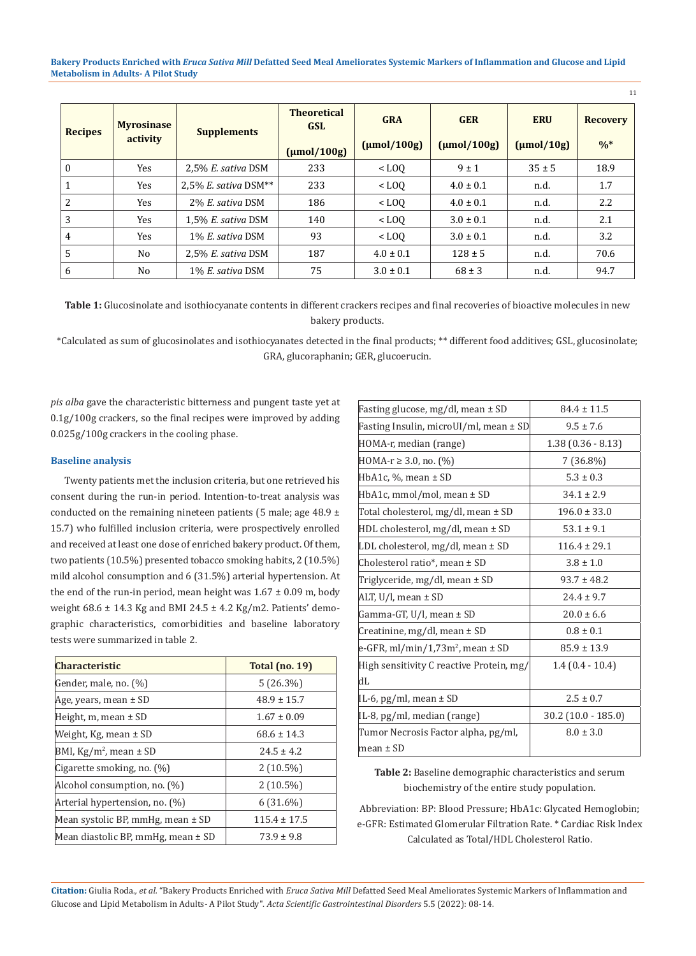**Bakery Products Enriched with** *Eruca Sativa Mill* **Defatted Seed Meal Ameliorates Systemic Markers of Inflammation and Glucose and Lipid Metabolism in Adults- A Pilot Study**

| <b>Recipes</b> | <b>Myrosinase</b><br>activity | <b>Supplements</b>        | <b>Theoretical</b><br><b>GSL</b> | <b>GRA</b><br>$\frac{\text{mol}}{\text{100g}}$ | <b>GER</b><br>(numol/100g) | <b>ERU</b><br>$\frac{\text{mol}}{10g}$ | <b>Recovery</b><br>$\frac{0}{6}$ |
|----------------|-------------------------------|---------------------------|----------------------------------|------------------------------------------------|----------------------------|----------------------------------------|----------------------------------|
|                |                               |                           | $(\mu mol/100g)$                 |                                                |                            |                                        |                                  |
| $\Omega$       | Yes                           | $2.5\%$ E. sativa DSM     | 233                              | $<$ LOO                                        | $9 \pm 1$                  | $35 \pm 5$                             | 18.9                             |
|                | Yes                           | 2.5% E. sativa $DSM^{**}$ | 233                              | $<$ LOO                                        | $4.0 \pm 0.1$              | n.d.                                   | 1.7                              |
| 2              | Yes                           | 2% E. sativa DSM          | 186                              | $<$ LOO                                        | $4.0 \pm 0.1$              | n.d.                                   | 2.2                              |
| 3              | Yes                           | 1.5% E. sativa DSM        | 140                              | $<$ LOO                                        | $3.0 \pm 0.1$              | n.d.                                   | 2.1                              |
| 4              | Yes                           | 1% E. sativa DSM          | 93                               | $<$ LOO                                        | $3.0 \pm 0.1$              | n.d.                                   | 3.2                              |
| 5              | N <sub>0</sub>                | $2.5\%$ E. sativa DSM     | 187                              | $4.0 \pm 0.1$                                  | $128 \pm 5$                | n.d.                                   | 70.6                             |
| 6              | N <sub>0</sub>                | 1% E. sativa DSM          | 75                               | $3.0 \pm 0.1$                                  | $68 \pm 3$                 | n.d.                                   | 94.7                             |

**Table 1:** Glucosinolate and isothiocyanate contents in different crackers recipes and final recoveries of bioactive molecules in new bakery products.

\*Calculated as sum of glucosinolates and isothiocyanates detected in the final products; \*\* different food additives; GSL, glucosinolate; GRA, glucoraphanin; GER, glucoerucin.

*pis alba* gave the characteristic bitterness and pungent taste yet at 0.1g/100g crackers, so the final recipes were improved by adding 0.025g/100g crackers in the cooling phase.

### **Baseline analysis**

Twenty patients met the inclusion criteria, but one retrieved his consent during the run-in period. Intention-to-treat analysis was conducted on the remaining nineteen patients (5 male; age  $48.9 \pm$ 15.7) who fulfilled inclusion criteria, were prospectively enrolled and received at least one dose of enriched bakery product. Of them, two patients (10.5%) presented tobacco smoking habits, 2 (10.5%) mild alcohol consumption and 6 (31.5%) arterial hypertension. At the end of the run-in period, mean height was  $1.67 \pm 0.09$  m, body weight  $68.6 \pm 14.3$  Kg and BMI 24.5  $\pm$  4.2 Kg/m2. Patients' demographic characteristics, comorbidities and baseline laboratory tests were summarized in table 2.

| <b>Characteristic</b>              | <b>Total (no. 19)</b> |  |
|------------------------------------|-----------------------|--|
| Gender, male, no. (%)              | 5(26.3%)              |  |
| Age, years, mean ± SD              | $48.9 \pm 15.7$       |  |
| Height, $m$ , mean $\pm$ SD        | $1.67 \pm 0.09$       |  |
| Weight, Kg, mean ± SD              | $68.6 \pm 14.3$       |  |
| BMI, $Kg/m^2$ , mean $\pm$ SD      | $24.5 \pm 4.2$        |  |
| Cigarette smoking, no. $(\%)$      | $2(10.5\%)$           |  |
| Alcohol consumption, no. (%)       | $2(10.5\%)$           |  |
| Arterial hypertension, no. (%)     | $6(31.6\%)$           |  |
| Mean systolic BP, mmHg, mean ± SD  | $115.4 \pm 17.5$      |  |
| Mean diastolic BP, mmHg, mean ± SD | $73.9 \pm 9.8$        |  |

| Fasting glucose, mg/dl, mean ± SD        | $84.4 \pm 11.5$         |  |  |
|------------------------------------------|-------------------------|--|--|
| Fasting Insulin, microUI/ml, mean ± SD   | $9.5 \pm 7.6$           |  |  |
| HOMA-r, median (range)                   | $1.38(0.36 - 8.13)$     |  |  |
| HOMA-r $\geq$ 3.0, no. (%)               | 7 (36.8%)               |  |  |
| HbA1c, $\%$ , mean $\pm$ SD              | $5.3 \pm 0.3$           |  |  |
| HbA1c, mmol/mol, mean ± SD               | $34.1 \pm 2.9$          |  |  |
| Total cholesterol, mg/dl, mean ± SD      | $196.0 \pm 33.0$        |  |  |
| HDL cholesterol, mg/dl, mean ± SD        | $53.1 \pm 9.1$          |  |  |
| LDL cholesterol, mg/dl, mean ± SD        | $116.4 \pm 29.1$        |  |  |
| Cholesterol ratio*, mean $\pm$ SD        | $3.8 \pm 1.0$           |  |  |
| Triglyceride, mg/dl, mean ± SD           | $93.7 \pm 48.2$         |  |  |
| ALT, U/l, mean ± SD                      | $24.4 \pm 9.7$          |  |  |
| Gamma-GT, U/l, mean ± SD                 | $20.0 \pm 6.6$          |  |  |
| Creatinine, mg/dl, mean ± SD             | $0.8 \pm 0.1$           |  |  |
| e-GFR, $ml/min/1,73m^2$ , mean $\pm$ SD  | $85.9 \pm 13.9$         |  |  |
| High sensitivity C reactive Protein, mg/ | $1.4(0.4-10.4)$         |  |  |
| dL                                       |                         |  |  |
| IL-6, pg/ml, mean ± SD                   | $2.5 \pm 0.7$           |  |  |
| IL-8, pg/ml, median (range)              | $30.2$ $(10.0 - 185.0)$ |  |  |
| Tumor Necrosis Factor alpha, pg/ml,      | $8.0 \pm 3.0$           |  |  |
| mean ± SD                                |                         |  |  |

11

**Table 2:** Baseline demographic characteristics and serum biochemistry of the entire study population.

Abbreviation: BP: Blood Pressure; HbA1c: Glycated Hemoglobin; e-GFR: Estimated Glomerular Filtration Rate. \* Cardiac Risk Index Calculated as Total/HDL Cholesterol Ratio.

**Citation:** Giulia Roda*., et al.* "Bakery Products Enriched with *Eruca Sativa Mill* Defatted Seed Meal Ameliorates Systemic Markers of Inflammation and Glucose and Lipid Metabolism in Adults- A Pilot Study". *Acta Scientific Gastrointestinal Disorders* 5.5 (2022): 08-14.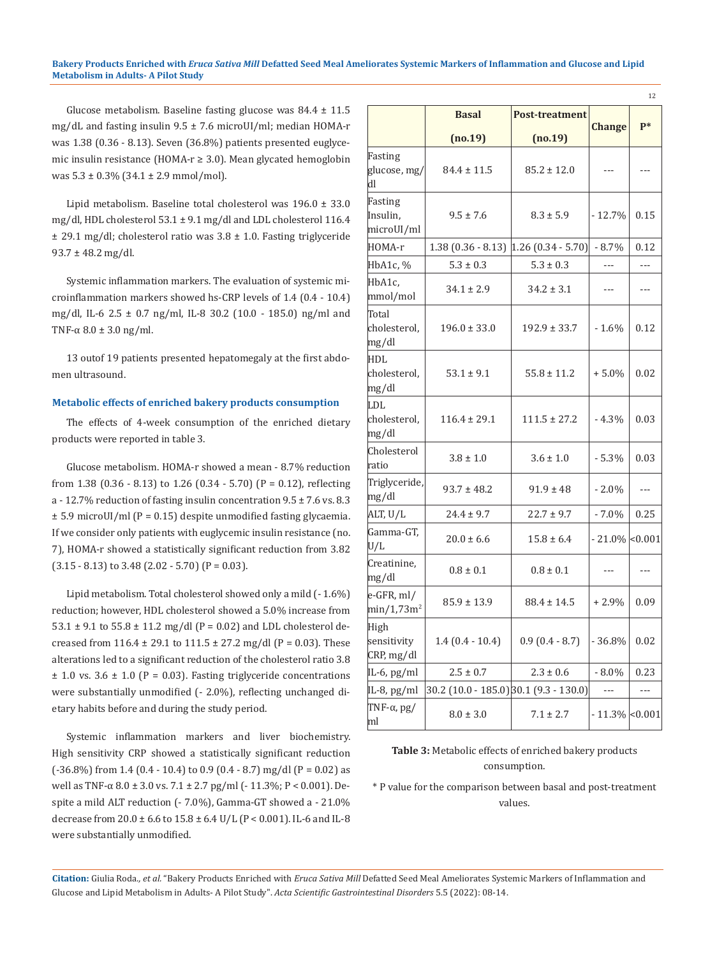#### **Bakery Products Enriched with** *Eruca Sativa Mill* **Defatted Seed Meal Ameliorates Systemic Markers of Inflammation and Glucose and Lipid Metabolism in Adults- A Pilot Study**

Glucose metabolism. Baseline fasting glucose was 84.4 ± 11.5 mg/dL and fasting insulin 9.5 ± 7.6 microUI/ml; median HOMA-r was 1.38 (0.36 - 8.13). Seven (36.8%) patients presented euglycemic insulin resistance (HOMA-r ≥ 3.0). Mean glycated hemoglobin was  $5.3 \pm 0.3\%$  (34.1  $\pm$  2.9 mmol/mol).

Lipid metabolism. Baseline total cholesterol was 196.0 ± 33.0 mg/dl, HDL cholesterol 53.1 ± 9.1 mg/dl and LDL cholesterol 116.4  $\pm$  29.1 mg/dl; cholesterol ratio was 3.8  $\pm$  1.0. Fasting triglyceride  $93.7 \pm 48.2$  mg/dl.

Systemic inflammation markers. The evaluation of systemic microinflammation markers showed hs-CRP levels of 1.4 (0.4 - 10.4) mg/dl, IL-6 2.5 ± 0.7 ng/ml, IL-8 30.2 (10.0 - 185.0) ng/ml and TNF- $\alpha$  8.0  $\pm$  3.0 ng/ml.

13 outof 19 patients presented hepatomegaly at the first abdomen ultrasound.

#### **Metabolic effects of enriched bakery products consumption**

The effects of 4-week consumption of the enriched dietary products were reported in table 3.

Glucose metabolism. HOMA-r showed a mean - 8.7% reduction from  $1.38$  (0.36 - 8.13) to  $1.26$  (0.34 - 5.70) (P = 0.12), reflecting a - 12.7% reduction of fasting insulin concentration  $9.5 \pm 7.6$  vs. 8.3  $\pm$  5.9 microUI/ml (P = 0.15) despite unmodified fasting glycaemia. If we consider only patients with euglycemic insulin resistance (no. 7), HOMA-r showed a statistically significant reduction from 3.82  $(3.15 - 8.13)$  to 3.48  $(2.02 - 5.70)$   $(P = 0.03)$ .

Lipid metabolism. Total cholesterol showed only a mild (- 1.6%) reduction; however, HDL cholesterol showed a 5.0% increase from  $53.1 \pm 9.1$  to  $55.8 \pm 11.2$  mg/dl (P = 0.02) and LDL cholesterol decreased from  $116.4 \pm 29.1$  to  $111.5 \pm 27.2$  mg/dl (P = 0.03). These alterations led to a significant reduction of the cholesterol ratio 3.8  $\pm$  1.0 vs. 3.6  $\pm$  1.0 (P = 0.03). Fasting triglyceride concentrations were substantially unmodified (- 2.0%), reflecting unchanged dietary habits before and during the study period.

Systemic inflammation markers and liver biochemistry. High sensitivity CRP showed a statistically significant reduction  $(-36.8\%)$  from 1.4  $(0.4 - 10.4)$  to 0.9  $(0.4 - 8.7)$  mg/dl  $(P = 0.02)$  as well as TNF-α 8.0 ± 3.0 vs. 7.1 ± 2.7 pg/ml (- 11.3%; P < 0.001). Despite a mild ALT reduction (- 7.0%), Gamma-GT showed a - 21.0% decrease from 20.0 ± 6.6 to 15.8 ± 6.4 U/L (P < 0.001). IL-6 and IL-8 were substantially unmodified.

|                                         | <b>Basal</b>                           | <b>Post-treatment</b> |                   | $P*$ |  |
|-----------------------------------------|----------------------------------------|-----------------------|-------------------|------|--|
|                                         | (no.19)                                | (no.19)               | <b>Change</b>     |      |  |
| Fasting<br>glucose, mg/<br>dl           | $84.4 \pm 11.5$                        | $85.2 \pm 12.0$       | ---               |      |  |
| Fasting<br>Insulin,<br>microUI/ml       | $9.5 \pm 7.6$                          | $8.3 \pm 5.9$         | $-12.7%$          | 0.15 |  |
| HOMA-r                                  | $1.38(0.36 - 8.13)[1.26(0.34 - 5.70)]$ |                       | $-8.7%$           | 0.12 |  |
| HbA1c, %                                | $5.3 \pm 0.3$                          | $5.3 \pm 0.3$         |                   |      |  |
| HbA1c,<br>mmol/mol                      | $34.1 \pm 2.9$                         | $34.2 \pm 3.1$        | ---               | ---  |  |
| Total<br>cholesterol,<br>mg/dl          | $196.0 \pm 33.0$                       | $192.9 \pm 33.7$      | $-1.6%$           | 0.12 |  |
| <b>HDL</b><br>cholesterol,<br>mg/dl     | $53.1 \pm 9.1$                         | $55.8 \pm 11.2$       | $+5.0%$           | 0.02 |  |
| LDL<br>cholesterol,<br>mg/dl            | $116.4 \pm 29.1$                       | $111.5 \pm 27.2$      | $-4.3\%$          | 0.03 |  |
| Cholesterol<br>ratio                    | $3.8 \pm 1.0$                          | $3.6 \pm 1.0$         | $-5.3%$           | 0.03 |  |
| Triglyceride,<br>mg/dl                  | $93.7 \pm 48.2$                        | $91.9 \pm 48$         | $-2.0\%$          |      |  |
| ALT, U/L                                | $24.4 \pm 9.7$                         | $22.7 \pm 9.7$        | $-7.0\%$          | 0.25 |  |
| Gamma-GT,<br>U/L                        | $20.0 \pm 6.6$                         | $15.8 \pm 6.4$        | $-21.0\%$ < 0.001 |      |  |
| Creatinine,<br>mg/dl                    | $0.8 \pm 0.1$                          | $0.8 \pm 0.1$         | ---               |      |  |
| $e$ -GFR, ml/<br>min/1,73m <sup>2</sup> | $85.9 \pm 13.9$                        | $88.4 \pm 14.5$       | $+2.9%$           | 0.09 |  |
| High<br>sensitivity<br>CRP, mg/dl       | $1.4(0.4-10.4)$                        | $0.9(0.4 - 8.7)$      | $-36.8%$          | 0.02 |  |
| IL-6, pg/ml                             | $2.5 \pm 0.7$                          | $2.3 \pm 0.6$         | $-8.0\%$          | 0.23 |  |
| IL-8, pg/ml                             | 30.2 (10.0 - 185.0) 30.1 (9.3 - 130.0) |                       | ---               | ---  |  |
| TNF- $\alpha$ , pg/<br>ml               | $8.0 \pm 3.0$                          | $7.1 \pm 2.7$         | $-11.3\%$ < 0.001 |      |  |

12

## **Table 3:** Metabolic effects of enriched bakery products consumption.

\* P value for the comparison between basal and post-treatment values.

**Citation:** Giulia Roda*., et al.* "Bakery Products Enriched with *Eruca Sativa Mill* Defatted Seed Meal Ameliorates Systemic Markers of Inflammation and Glucose and Lipid Metabolism in Adults- A Pilot Study". *Acta Scientific Gastrointestinal Disorders* 5.5 (2022): 08-14.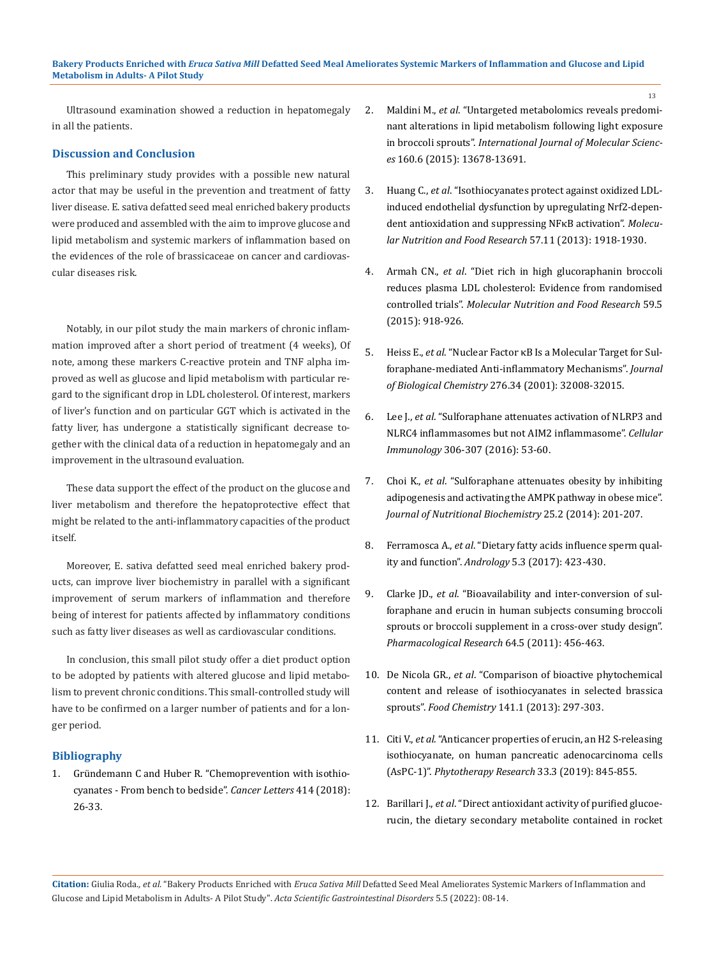Ultrasound examination showed a reduction in hepatomegaly in all the patients.

### **Discussion and Conclusion**

This preliminary study provides with a possible new natural actor that may be useful in the prevention and treatment of fatty liver disease. E. sativa defatted seed meal enriched bakery products were produced and assembled with the aim to improve glucose and lipid metabolism and systemic markers of inflammation based on the evidences of the role of brassicaceae on cancer and cardiovascular diseases risk.

Notably, in our pilot study the main markers of chronic inflammation improved after a short period of treatment (4 weeks), Of note, among these markers C-reactive protein and TNF alpha improved as well as glucose and lipid metabolism with particular regard to the significant drop in LDL cholesterol. Of interest, markers of liver's function and on particular GGT which is activated in the fatty liver, has undergone a statistically significant decrease together with the clinical data of a reduction in hepatomegaly and an improvement in the ultrasound evaluation.

These data support the effect of the product on the glucose and liver metabolism and therefore the hepatoprotective effect that might be related to the anti-inflammatory capacities of the product itself.

Moreover, E. sativa defatted seed meal enriched bakery products, can improve liver biochemistry in parallel with a significant improvement of serum markers of inflammation and therefore being of interest for patients affected by inflammatory conditions such as fatty liver diseases as well as cardiovascular conditions.

In conclusion, this small pilot study offer a diet product option to be adopted by patients with altered glucose and lipid metabolism to prevent chronic conditions. This small-controlled study will have to be confirmed on a larger number of patients and for a longer period.

## **Bibliography**

1. [Gründemann C and Huber R. "Chemoprevention with isothio](https://pubmed.ncbi.nlm.nih.gov/29111351/)[cyanates - From bench to bedside".](https://pubmed.ncbi.nlm.nih.gov/29111351/) *Cancer Letters* 414 (2018): [26-33.](https://pubmed.ncbi.nlm.nih.gov/29111351/)

2. Maldini M., *et al*[. "Untargeted metabolomics reveals predomi](https://pubmed.ncbi.nlm.nih.gov/26084047/)[nant alterations in lipid metabolism following light exposure](https://pubmed.ncbi.nlm.nih.gov/26084047/) in broccoli sprouts". *[International Journal of Molecular Scienc](https://pubmed.ncbi.nlm.nih.gov/26084047/)es* [160.6 \(2015\): 13678-13691.](https://pubmed.ncbi.nlm.nih.gov/26084047/)

13

- 3. Huang C., *et al*[. "Isothiocyanates protect against oxidized LDL](https://pubmed.ncbi.nlm.nih.gov/23836589/)[induced endothelial dysfunction by upregulating Nrf2-depen](https://pubmed.ncbi.nlm.nih.gov/23836589/)[dent antioxidation and suppressing NFκB activation".](https://pubmed.ncbi.nlm.nih.gov/23836589/) *Molecu[lar Nutrition and Food Research](https://pubmed.ncbi.nlm.nih.gov/23836589/)* 57.11 (2013): 1918-1930.
- 4. Armah CN., *et al*[. "Diet rich in high glucoraphanin broccoli](https://pubmed.ncbi.nlm.nih.gov/25851421/) [reduces plasma LDL cholesterol: Evidence from randomised](https://pubmed.ncbi.nlm.nih.gov/25851421/) controlled trials". *[Molecular Nutrition and Food Research](https://pubmed.ncbi.nlm.nih.gov/25851421/)* 59.5 [\(2015\): 918-926.](https://pubmed.ncbi.nlm.nih.gov/25851421/)
- 5. Heiss E., *et al*[. "Nuclear Factor κB Is a Molecular Target for Sul](https://www.sciencedirect.com/science/article/pii/S0021925819315121)[foraphane-mediated Anti-inflammatory Mechanisms".](https://www.sciencedirect.com/science/article/pii/S0021925819315121) *Journal of Biological Chemistry* [276.34 \(2001\): 32008-32015.](https://www.sciencedirect.com/science/article/pii/S0021925819315121)
- 6. Lee J., *et al*[. "Sulforaphane attenuates activation of NLRP3 and](https://www.sciencedirect.com/science/article/abs/pii/S0008874916300569) [NLRC4 inflammasomes but not AIM2 inflammasome".](https://www.sciencedirect.com/science/article/abs/pii/S0008874916300569) *Cellular Immunology* [306-307 \(2016\): 53-60.](https://www.sciencedirect.com/science/article/abs/pii/S0008874916300569)
- 7. Choi K., *et al*[. "Sulforaphane attenuates obesity by inhibiting](https://pubmed.ncbi.nlm.nih.gov/24445045/) [adipogenesis and activating the AMPK pathway in obese mice".](https://pubmed.ncbi.nlm.nih.gov/24445045/) *[Journal of Nutritional Biochemistry](https://pubmed.ncbi.nlm.nih.gov/24445045/)* 25.2 (2014): 201-207.
- 8. Ferramosca A., *et al*[. "Dietary fatty acids influence sperm qual](https://pubmed.ncbi.nlm.nih.gov/28334508/)ity and function". *Andrology* [5.3 \(2017\): 423-430.](https://pubmed.ncbi.nlm.nih.gov/28334508/)
- 9. Clarke JD., *et al*[. "Bioavailability and inter-conversion of sul](https://pubmed.ncbi.nlm.nih.gov/21816223/)[foraphane and erucin in human subjects consuming broccoli](https://pubmed.ncbi.nlm.nih.gov/21816223/) [sprouts or broccoli supplement in a cross-over study design".](https://pubmed.ncbi.nlm.nih.gov/21816223/) *[Pharmacological Research](https://pubmed.ncbi.nlm.nih.gov/21816223/)* 64.5 (2011): 456-463.
- 10. De Nicola GR., *et al*[. "Comparison of bioactive phytochemical](https://pubmed.ncbi.nlm.nih.gov/23768361/) [content and release of isothiocyanates in selected brassica](https://pubmed.ncbi.nlm.nih.gov/23768361/) sprouts". *Food Chemistry* [141.1 \(2013\): 297-303.](https://pubmed.ncbi.nlm.nih.gov/23768361/)
- 11. Citi V., *et al*[. "Anticancer properties of erucin, an H2 S-releasing](https://pubmed.ncbi.nlm.nih.gov/30632211/) [isothiocyanate, on human pancreatic adenocarcinoma cells](https://pubmed.ncbi.nlm.nih.gov/30632211/) (AsPC-1)". *[Phytotherapy Research](https://pubmed.ncbi.nlm.nih.gov/30632211/)* 33.3 (2019): 845-855.
- 12. Barillari J., *et al*[. "Direct antioxidant activity of purified glucoe](https://pubmed.ncbi.nlm.nih.gov/15796582/)[rucin, the dietary secondary metabolite contained in rocket](https://pubmed.ncbi.nlm.nih.gov/15796582/)

**Citation:** Giulia Roda*., et al.* "Bakery Products Enriched with *Eruca Sativa Mill* Defatted Seed Meal Ameliorates Systemic Markers of Inflammation and Glucose and Lipid Metabolism in Adults- A Pilot Study". *Acta Scientific Gastrointestinal Disorders* 5.5 (2022): 08-14.